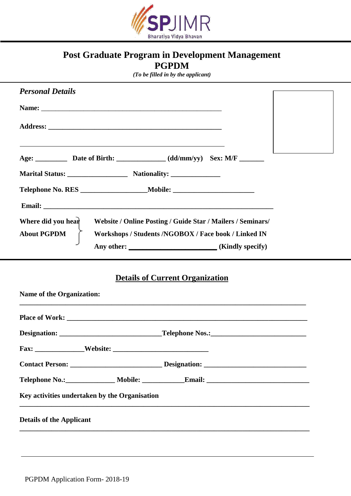

## **Post Graduate Program in Development Management PGPDM**

*(To be filled in by the applicant)*

| <b>Personal Details</b>                                                                                                                                         |  |  |  |  |
|-----------------------------------------------------------------------------------------------------------------------------------------------------------------|--|--|--|--|
|                                                                                                                                                                 |  |  |  |  |
|                                                                                                                                                                 |  |  |  |  |
| <u> 1989 - Johann Stoff, amerikansk politiker (* 1908)</u>                                                                                                      |  |  |  |  |
| Marital Status: Nationality: Nationality:                                                                                                                       |  |  |  |  |
| Telephone No. RES ______________________Mobile: _________________________________                                                                               |  |  |  |  |
|                                                                                                                                                                 |  |  |  |  |
| Where did you hear<br>Website / Online Posting / Guide Star / Mailers / Seminars/<br><b>About PGPDM</b><br>Workshops / Students /NGOBOX / Face book / Linked IN |  |  |  |  |
|                                                                                                                                                                 |  |  |  |  |
| <b>Details of Current Organization</b><br><b>Name of the Organization:</b>                                                                                      |  |  |  |  |
|                                                                                                                                                                 |  |  |  |  |
|                                                                                                                                                                 |  |  |  |  |
|                                                                                                                                                                 |  |  |  |  |
|                                                                                                                                                                 |  |  |  |  |
|                                                                                                                                                                 |  |  |  |  |
| Key activities undertaken by the Organisation                                                                                                                   |  |  |  |  |
| <b>Details of the Applicant</b>                                                                                                                                 |  |  |  |  |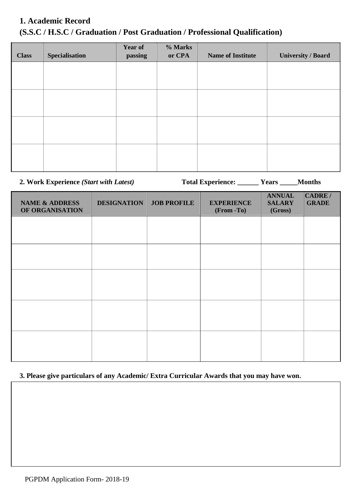# **1. Academic Record (S.S.C / H.S.C / Graduation / Post Graduation / Professional Qualification)**

| <b>Class</b> | <b>Specialisation</b> | Year of<br>passing | % Marks<br>or CPA | <b>Name of Institute</b> | <b>University / Board</b> |
|--------------|-----------------------|--------------------|-------------------|--------------------------|---------------------------|
|              |                       |                    |                   |                          |                           |
|              |                       |                    |                   |                          |                           |
|              |                       |                    |                   |                          |                           |
|              |                       |                    |                   |                          |                           |
|              |                       |                    |                   |                          |                           |
|              |                       |                    |                   |                          |                           |
|              |                       |                    |                   |                          |                           |
|              |                       |                    |                   |                          |                           |

**2. Work Experience** *(Start with Latest)* **Total Experience: \_\_\_\_\_\_ Years \_\_\_\_\_Months**

| <b>NAME &amp; ADDRESS</b><br>OF ORGANISATION | <b>DESIGNATION</b> | <b>JOB PROFILE</b> | <b>EXPERIENCE</b><br>(From -To) | <b>ANNUAL</b><br><b>SALARY</b><br>(Gross) | CADRE /<br><b>GRADE</b> |
|----------------------------------------------|--------------------|--------------------|---------------------------------|-------------------------------------------|-------------------------|
|                                              |                    |                    |                                 |                                           |                         |
|                                              |                    |                    |                                 |                                           |                         |
|                                              |                    |                    |                                 |                                           |                         |
|                                              |                    |                    |                                 |                                           |                         |
|                                              |                    |                    |                                 |                                           |                         |
|                                              |                    |                    |                                 |                                           |                         |

#### **3. Please give particulars of any Academic/ Extra Curricular Awards that you may have won.**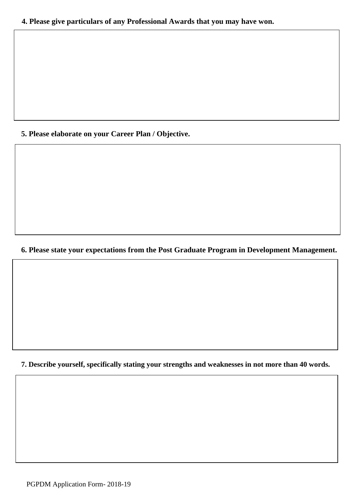#### **5. Please elaborate on your Career Plan / Objective.**

#### **6. Please state your expectations from the Post Graduate Program in Development Management.**

**7. Describe yourself, specifically stating your strengths and weaknesses in not more than 40 words.**